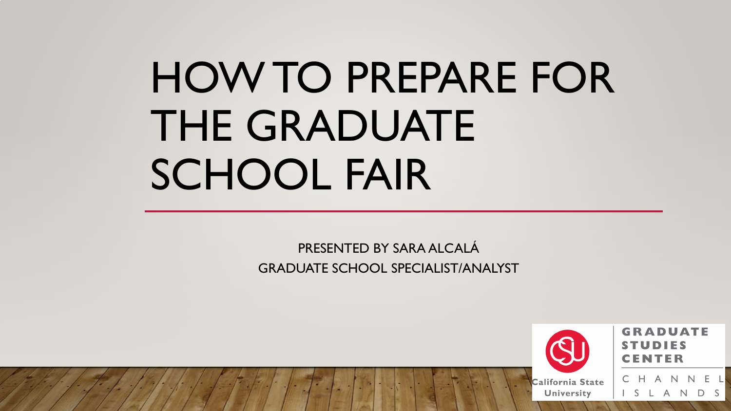# HOW TO PREPARE FOR THE GRADUATE SCHOOL FAIR

PRESENTED BY SARA ALCALÁ GRADUATE SCHOOL SPECIALIST/ANALYST



**GRADUATE** 

A N

A N

- F - L

D S

California State **University**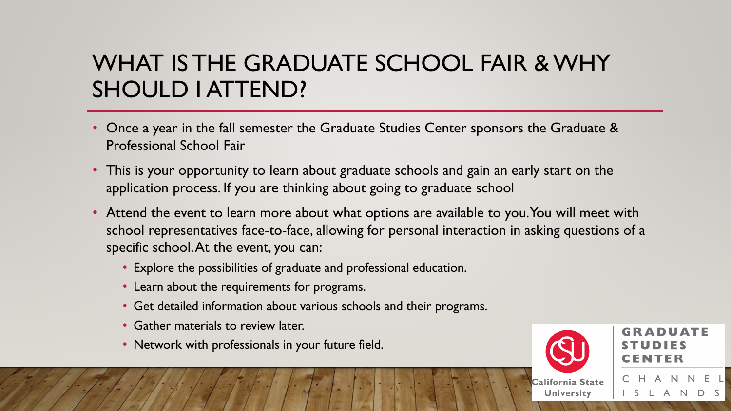## WHAT IS THE GRADUATE SCHOOL FAIR & WHY SHOULD I ATTEND?

- Once a year in the fall semester the Graduate Studies Center sponsors the Graduate & Professional School Fair
- This is your opportunity to learn about graduate schools and gain an early start on the application process. If you are thinking about going to graduate school
- Attend the event to learn more about what options are available to you. You will meet with school representatives face-to-face, allowing for personal interaction in asking questions of a specific school. At the event, you can:
	- Explore the possibilities of graduate and professional education.
	- Learn about the requirements for programs.
	- Get detailed information about various schools and their programs.
	- Gather materials to review later.
	- Network with professionals in your future field.



**University** 

GRADUATE

 $\overline{A}$ N D S

H A N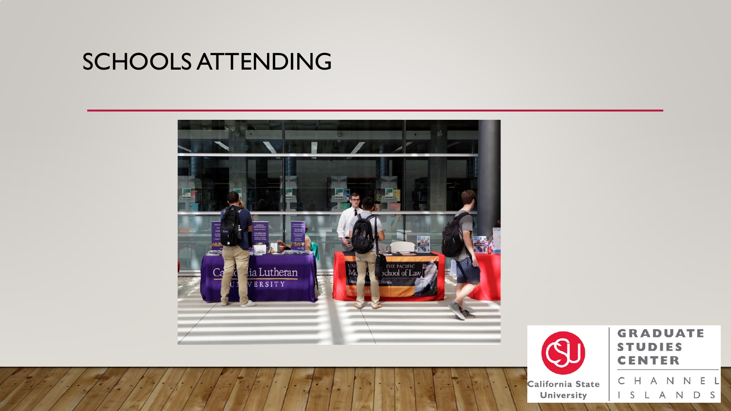#### SCHOOLS ATTENDING





**GRADUATE TUDIES** S **CENTER** 

California State University

NNEL  $\mathsf{A}$ C  $H$  $D S$ S A N L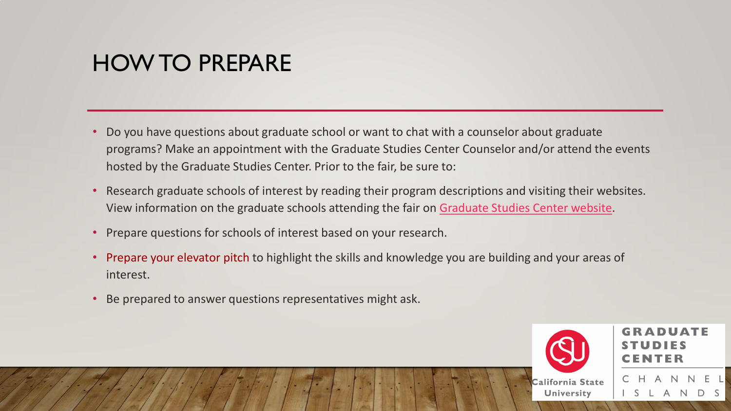#### HOW TO PREPARE

- Do you have questions about graduate school or want to chat with a counselor about graduate programs? Make an appointment with the Graduate Studies Center Counselor and/or attend the events hosted by the Graduate Studies Center. Prior to the fair, be sure to:
- Research graduate schools of interest by reading their program descriptions and visiting their websites. View information on the graduate schools attending the fair on [Graduate Studies Center website.](https://www.csuci.edu/advising/gsc/workshops-events/graduate-school-fair/index.htm)
- Prepare questions for schools of interest based on your research.
- Prepare your elevator pitch to highlight the skills and knowledge you are building and your areas of interest.
- Be prepared to answer questions representatives might ask.

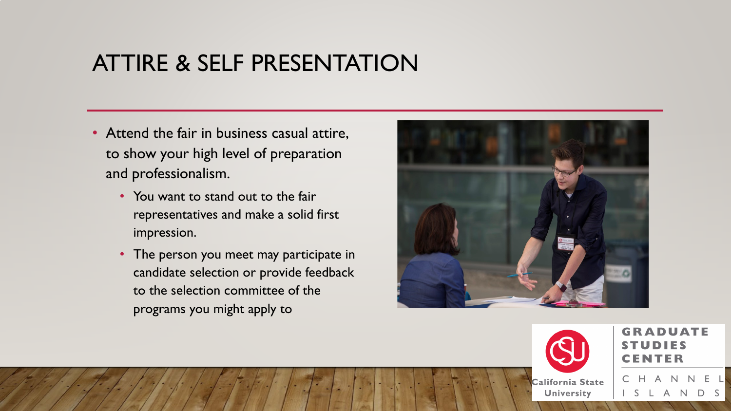#### ATTIRE & SELF PRESENTATION

- Attend the fair in business casual attire, to show your high level of preparation and professionalism.
	- You want to stand out to the fair representatives and make a solid first impression.
	- The person you meet may participate in candidate selection or provide feedback to the selection committee of the programs you might apply to





**GRADUATE** 

California State **University** 

 $E-L$ H A N  $N$ A N  $D S$ <sub>S</sub> -L,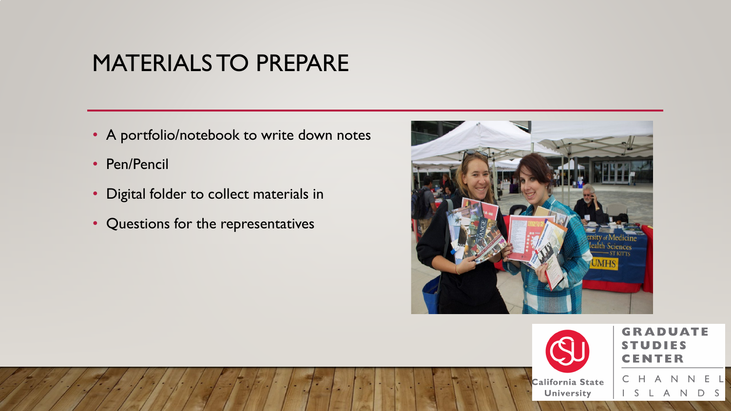#### MATERIALS TO PREPARE

- A portfolio/notebook to write down notes
- Pen/Pencil
- Digital folder to collect materials in
- Questions for the representatives





**GRADUATE** UDIES CENTER

HANNEL

D S

A N

<sub>S</sub> L,

California State University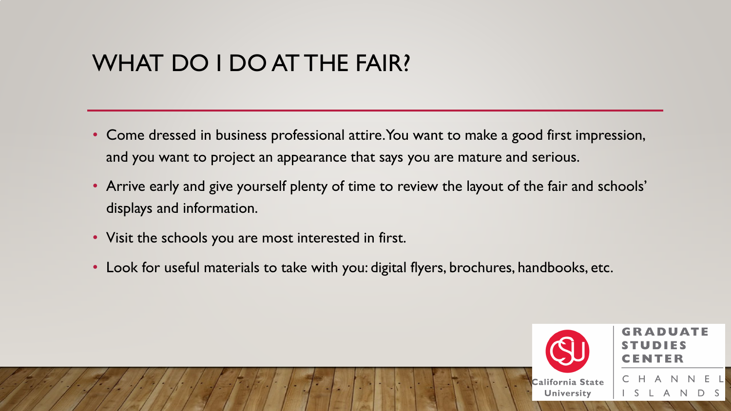## WHAT DO I DO AT THE FAIR?

- Come dressed in business professional attire. You want to make a good first impression, and you want to project an appearance that says you are mature and serious.
- Arrive early and give yourself plenty of time to review the layout of the fair and schools' displays and information.
- Visit the schools you are most interested in first.
- Look for useful materials to take with you: digital flyers, brochures, handbooks, etc.

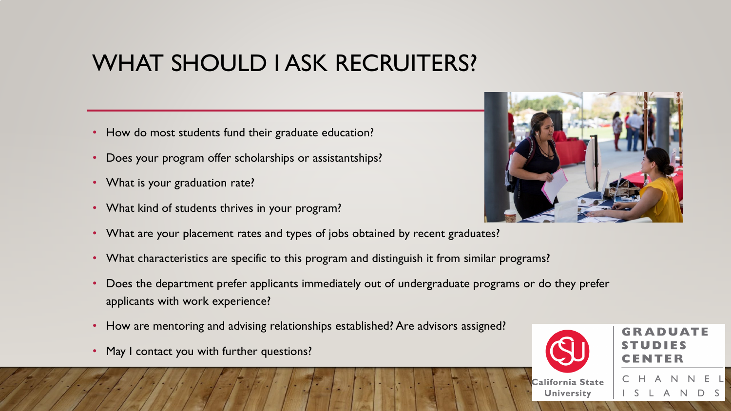# WHAT SHOULD I ASK RECRUITERS?

- How do most students fund their graduate education?
- Does your program offer scholarships or assistantships?
- What is your graduation rate?
- What kind of students thrives in your program?
- What are your placement rates and types of jobs obtained by recent graduates?
- What characteristics are specific to this program and distinguish it from similar programs?
- Does the department prefer applicants immediately out of undergraduate programs or do they prefer applicants with work experience?
- How are mentoring and advising relationships established? Are advisors assigned?
- May I contact you with further questions?





**University** 

**GRADUATE** 

 $\overline{A}$ 

- N

D S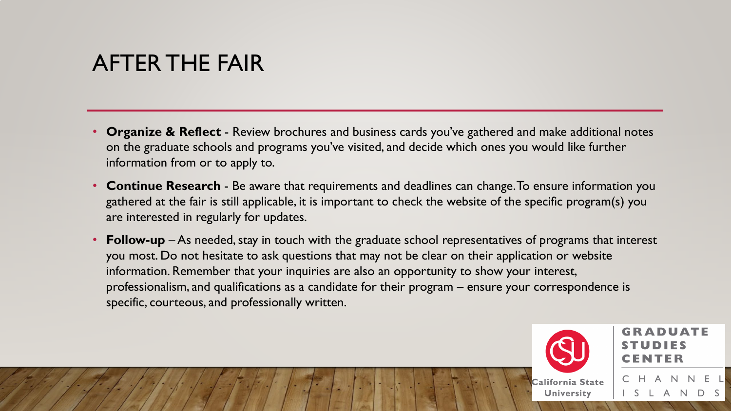#### AFTER THE FAIR

- **Organize & Reflect**  Review brochures and business cards you've gathered and make additional notes on the graduate schools and programs you've visited, and decide which ones you would like further information from or to apply to.
- **Continue Research**  Be aware that requirements and deadlines can change. To ensure information you gathered at the fair is still applicable, it is important to check the website of the specific program(s) you are interested in regularly for updates.
- **Follow-up** As needed, stay in touch with the graduate school representatives of programs that interest you most. Do not hesitate to ask questions that may not be clear on their application or website information. Remember that your inquiries are also an opportunity to show your interest, professionalism, and qualifications as a candidate for their program – ensure your correspondence is specific, courteous, and professionally written.



**University** 

**GRADUATE** ENTER

CHANNEL

L A N D S

 $S$